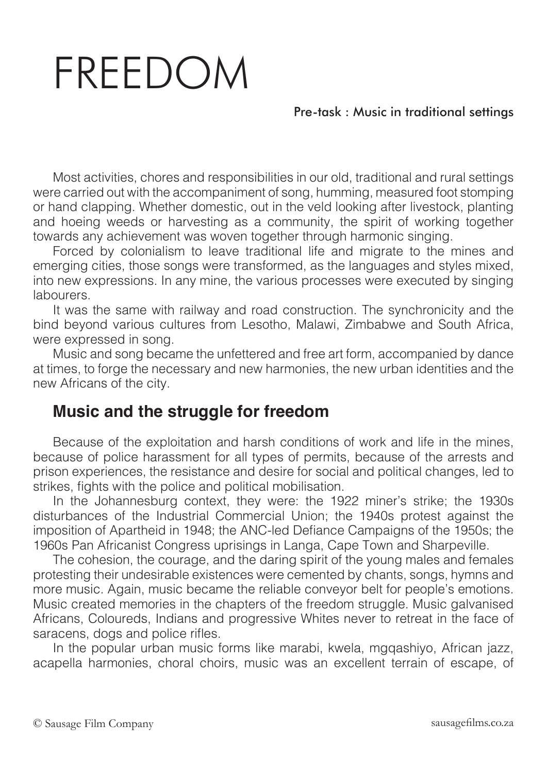## FREEDOM

## Pre-task : Music in traditional settings

Most activities, chores and responsibilities in our old, traditional and rural settings were carried out with the accompaniment of song, humming, measured foot stomping or hand clapping. Whether domestic, out in the veld looking after livestock, planting and hoeing weeds or harvesting as a community, the spirit of working together towards any achievement was woven together through harmonic singing.

Forced by colonialism to leave traditional life and migrate to the mines and emerging cities, those songs were transformed, as the languages and styles mixed, into new expressions. In any mine, the various processes were executed by singing labourers.

It was the same with railway and road construction. The synchronicity and the bind beyond various cultures from Lesotho, Malawi, Zimbabwe and South Africa, were expressed in song.

Music and song became the unfettered and free art form, accompanied by dance at times, to forge the necessary and new harmonies, the new urban identities and the new Africans of the city.

## **Music and the struggle for freedom**

Because of the exploitation and harsh conditions of work and life in the mines, because of police harassment for all types of permits, because of the arrests and prison experiences, the resistance and desire for social and political changes, led to strikes, fights with the police and political mobilisation.

In the Johannesburg context, they were: the 1922 miner's strike; the 1930s disturbances of the Industrial Commercial Union; the 1940s protest against the imposition of Apartheid in 1948; the ANC-led Defiance Campaigns of the 1950s; the 1960s Pan Africanist Congress uprisings in Langa, Cape Town and Sharpeville.

The cohesion, the courage, and the daring spirit of the young males and females protesting their undesirable existences were cemented by chants, songs, hymns and more music. Again, music became the reliable conveyor belt for people's emotions. Music created memories in the chapters of the freedom struggle. Music galvanised Africans, Coloureds, Indians and progressive Whites never to retreat in the face of saracens, dogs and police rifles.

In the popular urban music forms like marabi, kwela, mgqashiyo, African jazz, acapella harmonies, choral choirs, music was an excellent terrain of escape, of